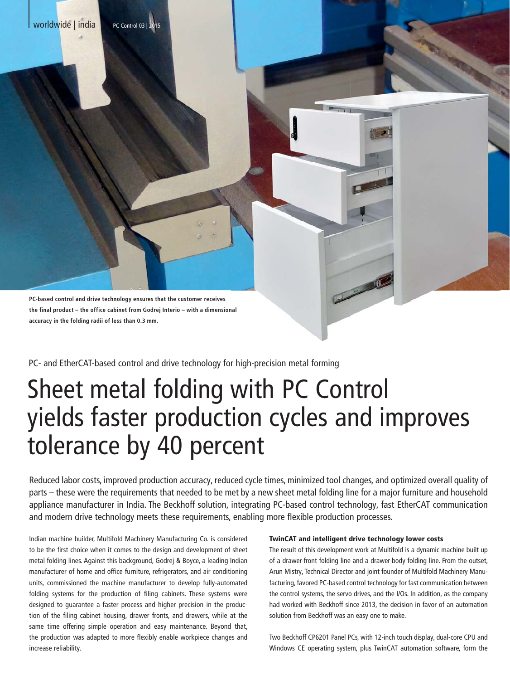

**the final product – the office cabinet from Godrej Interio – with a dimensional nal accuracy in the folding radii of less than 0.3 mm.**

PC- and EtherCAT-based control and drive technology for high-precision metal forming

# Sheet metal folding with PC Control yields faster production cycles and improves tolerance by 40 percent

Reduced labor costs, improved production accuracy, reduced cycle times, minimized tool changes, and optimized overall quality of parts – these were the requirements that needed to be met by a new sheet metal folding line for a major furniture and household appliance manufacturer in India. The Beckhoff solution, integrating PC-based control technology, fast EtherCAT communication and modern drive technology meets these requirements, enabling more flexible production processes.

Indian machine builder, Multifold Machinery Manufacturing Co. is considered to be the first choice when it comes to the design and development of sheet metal folding lines. Against this background, Godrej & Boyce, a leading Indian manufacturer of home and office furniture, refrigerators, and air conditioning units, commissioned the machine manufacturer to develop fully-automated folding systems for the production of filing cabinets. These systems were designed to guarantee a faster process and higher precision in the production of the filing cabinet housing, drawer fronts, and drawers, while at the same time offering simple operation and easy maintenance. Beyond that, the production was adapted to more flexibly enable workpiece changes and increase reliability.

#### TwinCAT and intelligent drive technology lower costs

The result of this development work at Multifold is a dynamic machine built up of a drawer-front folding line and a drawer-body folding line. From the outset, Arun Mistry, Technical Director and joint founder of Multifold Machinery Manufacturing, favored PC-based control technology for fast communication between the control systems, the servo drives, and the I/Os. In addition, as the company had worked with Beckhoff since 2013, the decision in favor of an automation solution from Beckhoff was an easy one to make.

Two Beckhoff CP6201 Panel PCs, with 12-inch touch display, dual-core CPU and Windows CE operating system, plus TwinCAT automation software, form the